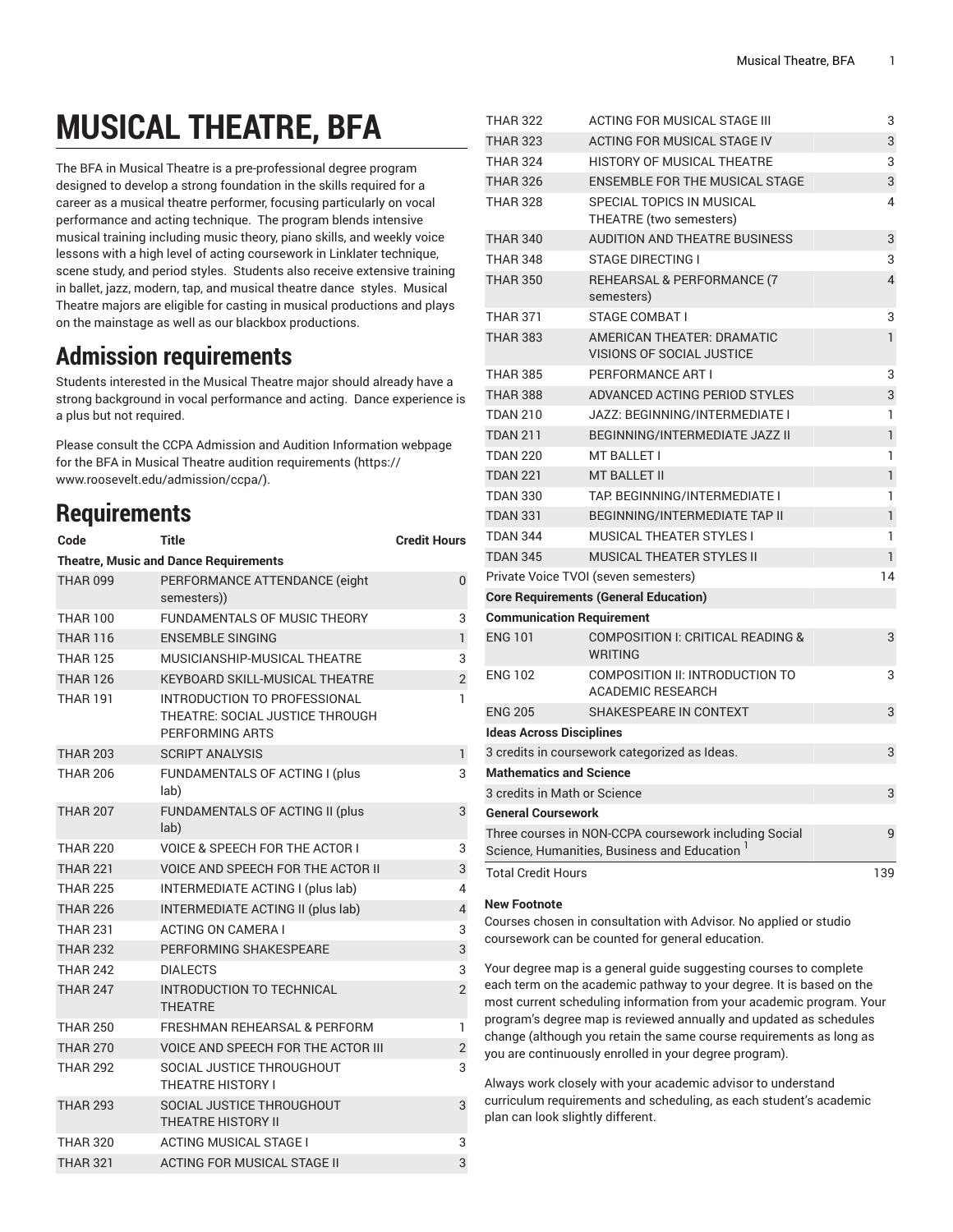## **MUSICAL THEATRE, BFA**

The BFA in Musical Theatre is a pre-professional degree program designed to develop a strong foundation in the skills required for a career as a musical theatre performer, focusing particularly on vocal performance and acting technique. The program blends intensive musical training including music theory, piano skills, and weekly voice lessons with a high level of acting coursework in Linklater technique, scene study, and period styles. Students also receive extensive training in ballet, jazz, modern, tap, and musical theatre dance styles. Musical Theatre majors are eligible for casting in musical productions and plays on the mainstage as well as our blackbox productions.

## **Admission requirements**

Students interested in the Musical Theatre major should already have a strong background in vocal performance and acting. Dance experience is a plus but not required.

Please consult the CCPA Admission and Audition Information webpage for the BFA in Musical Theatre audition [requirements \(https://](https://www.roosevelt.edu/admission/ccpa/) [www.roosevelt.edu/admission/ccpa/](https://www.roosevelt.edu/admission/ccpa/)).

## **Requirements**

| Code                                         | Title                                                                              | <b>Credit Hours</b> |  |
|----------------------------------------------|------------------------------------------------------------------------------------|---------------------|--|
| <b>Theatre, Music and Dance Requirements</b> |                                                                                    |                     |  |
| <b>THAR 099</b>                              | PERFORMANCE ATTENDANCE (eight<br>semesters))                                       | $\mathbf{0}$        |  |
| <b>THAR 100</b>                              | FUNDAMENTALS OF MUSIC THEORY                                                       | 3                   |  |
| <b>THAR 116</b>                              | <b>ENSEMBLE SINGING</b>                                                            | $\mathbf{1}$        |  |
| <b>THAR 125</b>                              | MUSICIANSHIP-MUSICAL THEATRE                                                       | 3                   |  |
| <b>THAR 126</b>                              | KEYBOARD SKILL-MUSICAL THEATRE                                                     | $\overline{2}$      |  |
| THAR 191                                     | INTRODUCTION TO PROFESSIONAL<br>THEATRE: SOCIAL JUSTICE THROUGH<br>PERFORMING ARTS | 1                   |  |
| <b>THAR 203</b>                              | <b>SCRIPT ANALYSIS</b>                                                             | 1                   |  |
| <b>THAR 206</b>                              | FUNDAMENTALS OF ACTING I (plus<br>lab)                                             | 3                   |  |
| <b>THAR 207</b>                              | FUNDAMENTALS OF ACTING II (plus<br>lab)                                            | 3                   |  |
| <b>THAR 220</b>                              | <b>VOICE &amp; SPEECH FOR THE ACTOR I</b>                                          | 3                   |  |
| <b>THAR 221</b>                              | <b>VOICE AND SPEECH FOR THE ACTOR II</b>                                           | 3                   |  |
| <b>THAR 225</b>                              | INTERMEDIATE ACTING I (plus lab)                                                   | 4                   |  |
| <b>THAR 226</b>                              | INTERMEDIATE ACTING II (plus lab)                                                  | $\overline{4}$      |  |
| <b>THAR 231</b>                              | <b>ACTING ON CAMERA I</b>                                                          | 3                   |  |
| <b>THAR 232</b>                              | PERFORMING SHAKESPEARE                                                             | 3                   |  |
| <b>THAR 242</b>                              | <b>DIALECTS</b>                                                                    | 3                   |  |
| <b>THAR 247</b>                              | <b>INTRODUCTION TO TECHNICAL</b><br><b>THEATRE</b>                                 | $\overline{2}$      |  |
| <b>THAR 250</b>                              | FRESHMAN REHEARSAL & PERFORM                                                       | 1                   |  |
| <b>THAR 270</b>                              | <b>VOICE AND SPEECH FOR THE ACTOR III</b>                                          | $\overline{c}$      |  |
| <b>THAR 292</b>                              | SOCIAL JUSTICE THROUGHOUT<br><b>THEATRE HISTORY I</b>                              | 3                   |  |
| <b>THAR 293</b>                              | SOCIAL JUSTICE THROUGHOUT<br><b>THEATRE HISTORY II</b>                             | 3                   |  |
| <b>THAR 320</b>                              | <b>ACTING MUSICAL STAGE I</b>                                                      | 3                   |  |
| <b>THAR 321</b>                              | <b>ACTING FOR MUSICAL STAGE II</b>                                                 | 3                   |  |

| THAR 322                        | ACTING FOR MUSICAL STAGE III                                                                                      | 3              |
|---------------------------------|-------------------------------------------------------------------------------------------------------------------|----------------|
| <b>THAR 323</b>                 | ACTING FOR MUSICAL STAGE IV                                                                                       | 3              |
| <b>THAR 324</b>                 | HISTORY OF MUSICAL THEATRE                                                                                        | 3              |
| <b>THAR 326</b>                 | <b>ENSEMBLE FOR THE MUSICAL STAGE</b>                                                                             | 3              |
| <b>THAR 328</b>                 | SPECIAL TOPICS IN MUSICAL                                                                                         | 4              |
|                                 | THEATRE (two semesters)                                                                                           |                |
| <b>THAR 340</b>                 | <b>AUDITION AND THEATRE BUSINESS</b>                                                                              | 3              |
| <b>THAR 348</b>                 | <b>STAGE DIRECTING I</b>                                                                                          | 3              |
| <b>THAR 350</b>                 | REHEARSAL & PERFORMANCE (7<br>semesters)                                                                          | $\overline{4}$ |
| <b>THAR 371</b>                 | STAGE COMBAT I                                                                                                    | 3              |
| <b>THAR 383</b>                 | <b>AMERICAN THEATER: DRAMATIC</b><br><b>VISIONS OF SOCIAL JUSTICE</b>                                             | 1              |
| <b>THAR 385</b>                 | PERFORMANCE ART I                                                                                                 | 3              |
| <b>THAR 388</b>                 | ADVANCED ACTING PERIOD STYLES                                                                                     | 3              |
| <b>TDAN 210</b>                 | JAZZ: BEGINNING/INTERMEDIATE I                                                                                    | 1              |
| <b>TDAN 211</b>                 | BEGINNING/INTERMEDIATE JAZZ II                                                                                    | 1              |
| <b>TDAN 220</b>                 | MT BALLET I                                                                                                       | 1              |
| <b>TDAN 221</b>                 | <b>MT BALLET II</b>                                                                                               | 1              |
| <b>TDAN 330</b>                 | TAP. BEGINNING/INTERMEDIATE I                                                                                     | 1              |
| <b>TDAN 331</b>                 | <b>BEGINNING/INTERMEDIATE TAP II</b>                                                                              | $\mathbf{1}$   |
| <b>TDAN 344</b>                 | <b>MUSICAL THEATER STYLES I</b>                                                                                   | 1              |
| <b>TDAN 345</b>                 | <b>MUSICAL THEATER STYLES II</b>                                                                                  | $\mathbf{1}$   |
|                                 | Private Voice TVOI (seven semesters)                                                                              | 14             |
|                                 | <b>Core Requirements (General Education)</b>                                                                      |                |
|                                 | <b>Communication Requirement</b>                                                                                  |                |
| <b>ENG 101</b>                  | COMPOSITION I: CRITICAL READING &<br><b>WRITING</b>                                                               | 3              |
| <b>ENG 102</b>                  | COMPOSITION II: INTRODUCTION TO<br><b>ACADEMIC RESEARCH</b>                                                       | 3              |
| <b>ENG 205</b>                  | SHAKESPEARE IN CONTEXT                                                                                            | 3              |
| <b>Ideas Across Disciplines</b> |                                                                                                                   |                |
|                                 | 3 credits in coursework categorized as Ideas.                                                                     | 3              |
| <b>Mathematics and Science</b>  |                                                                                                                   |                |
| 3 credits in Math or Science    |                                                                                                                   | 3              |
| <b>General Coursework</b>       |                                                                                                                   |                |
|                                 | Three courses in NON-CCPA coursework including Social<br>Science, Humanities, Business and Education <sup>1</sup> | 9              |
| <b>Total Credit Hours</b>       |                                                                                                                   | 139            |
|                                 |                                                                                                                   |                |

## **New Footnote**

Courses chosen in consultation with Advisor. No applied or studio coursework can be counted for general education.

Your degree map is a general guide suggesting courses to complete each term on the academic pathway to your degree. It is based on the most current scheduling information from your academic program. Your program's degree map is reviewed annually and updated as schedules change (although you retain the same course requirements as long as you are continuously enrolled in your degree program).

Always work closely with your academic advisor to understand curriculum requirements and scheduling, as each student's academic plan can look slightly different.